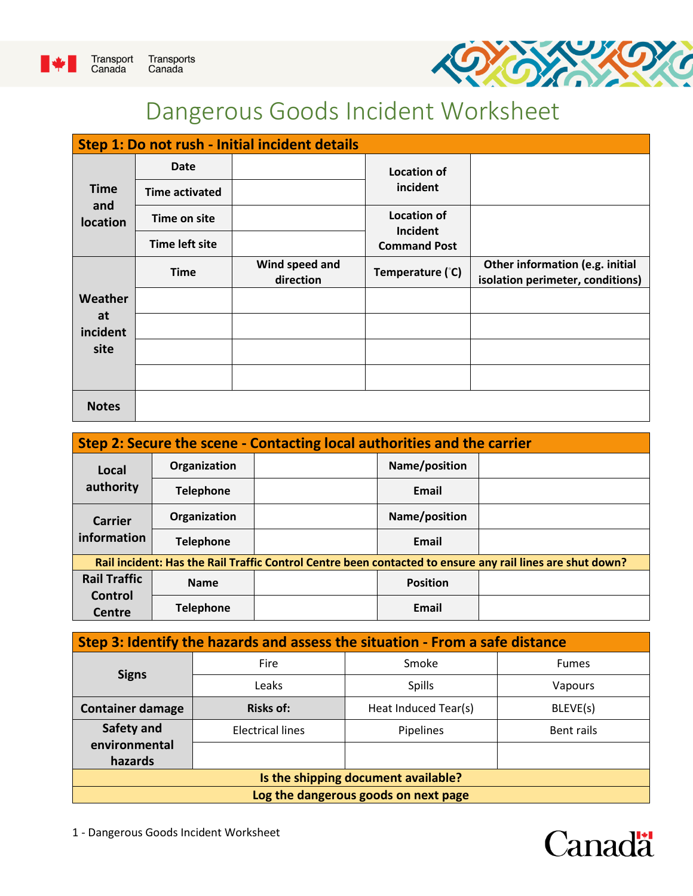



## Dangerous Goods Incident Worksheet

| Step 1: Do not rush - Initial incident details |                       |                             |                                |                                                                     |  |  |
|------------------------------------------------|-----------------------|-----------------------------|--------------------------------|---------------------------------------------------------------------|--|--|
| <b>Time</b><br>and<br>location                 | <b>Date</b>           |                             | <b>Location of</b>             |                                                                     |  |  |
|                                                | <b>Time activated</b> |                             | incident                       |                                                                     |  |  |
|                                                | Time on site          |                             | <b>Location of</b><br>Incident |                                                                     |  |  |
|                                                | <b>Time left site</b> |                             | <b>Command Post</b>            |                                                                     |  |  |
|                                                | <b>Time</b>           | Wind speed and<br>direction | Temperature (°C)               | Other information (e.g. initial<br>isolation perimeter, conditions) |  |  |
| Weather                                        |                       |                             |                                |                                                                     |  |  |
| at<br>incident                                 |                       |                             |                                |                                                                     |  |  |
| site                                           |                       |                             |                                |                                                                     |  |  |
|                                                |                       |                             |                                |                                                                     |  |  |
| <b>Notes</b>                                   |                       |                             |                                |                                                                     |  |  |

| Step 2: Secure the scene - Contacting local authorities and the carrier                                   |                  |                 |  |  |  |  |
|-----------------------------------------------------------------------------------------------------------|------------------|-----------------|--|--|--|--|
| Local<br>authority                                                                                        | Organization     | Name/position   |  |  |  |  |
|                                                                                                           | <b>Telephone</b> | Email           |  |  |  |  |
| <b>Carrier</b><br>information                                                                             | Organization     | Name/position   |  |  |  |  |
|                                                                                                           | <b>Telephone</b> | Email           |  |  |  |  |
| Rail incident: Has the Rail Traffic Control Centre been contacted to ensure any rail lines are shut down? |                  |                 |  |  |  |  |
| <b>Rail Traffic</b><br>Control<br>Centre                                                                  | <b>Name</b>      | <b>Position</b> |  |  |  |  |
|                                                                                                           | <b>Telephone</b> | Email           |  |  |  |  |

| Step 3: Identify the hazards and assess the situation - From a safe distance |                         |               |              |  |  |
|------------------------------------------------------------------------------|-------------------------|---------------|--------------|--|--|
| <b>Signs</b>                                                                 | <b>Fire</b>             | Smoke         | <b>Fumes</b> |  |  |
|                                                                              | Leaks                   | <b>Spills</b> | Vapours      |  |  |
| <b>Container damage</b>                                                      | Heat Induced Tear(s)    | BLEVE(s)      |              |  |  |
| Safety and                                                                   | <b>Electrical lines</b> | Pipelines     | Bent rails   |  |  |
| environmental<br>hazards                                                     |                         |               |              |  |  |
| Is the shipping document available?                                          |                         |               |              |  |  |
| Log the dangerous goods on next page                                         |                         |               |              |  |  |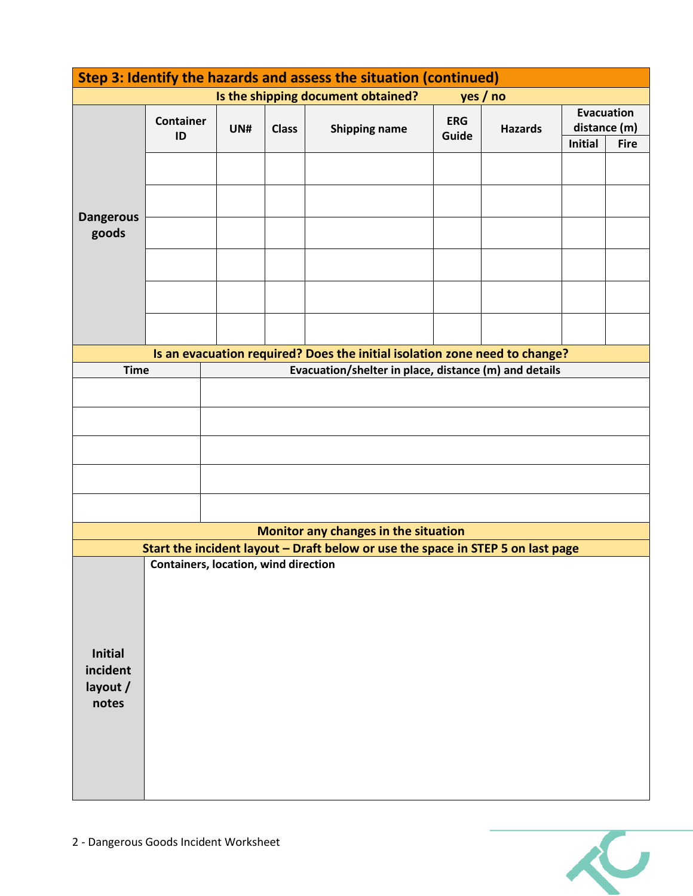| Step 3: Identify the hazards and assess the situation (continued) |                                                                                 |                                             |              |                                                                            |                     |                |                                   |             |
|-------------------------------------------------------------------|---------------------------------------------------------------------------------|---------------------------------------------|--------------|----------------------------------------------------------------------------|---------------------|----------------|-----------------------------------|-------------|
|                                                                   |                                                                                 |                                             |              | Is the shipping document obtained?                                         | yes / no            |                |                                   |             |
|                                                                   | <b>Container</b><br>ID                                                          | UN#                                         | <b>Class</b> | <b>Shipping name</b>                                                       | <b>ERG</b><br>Guide | <b>Hazards</b> | <b>Evacuation</b><br>distance (m) |             |
|                                                                   |                                                                                 |                                             |              |                                                                            |                     |                | <b>Initial</b>                    | <b>Fire</b> |
|                                                                   |                                                                                 |                                             |              |                                                                            |                     |                |                                   |             |
|                                                                   |                                                                                 |                                             |              |                                                                            |                     |                |                                   |             |
| <b>Dangerous</b>                                                  |                                                                                 |                                             |              |                                                                            |                     |                |                                   |             |
| goods                                                             |                                                                                 |                                             |              |                                                                            |                     |                |                                   |             |
|                                                                   |                                                                                 |                                             |              |                                                                            |                     |                |                                   |             |
|                                                                   |                                                                                 |                                             |              |                                                                            |                     |                |                                   |             |
|                                                                   |                                                                                 |                                             |              |                                                                            |                     |                |                                   |             |
|                                                                   |                                                                                 |                                             |              |                                                                            |                     |                |                                   |             |
|                                                                   |                                                                                 |                                             |              | Is an evacuation required? Does the initial isolation zone need to change? |                     |                |                                   |             |
| <b>Time</b>                                                       |                                                                                 |                                             |              | Evacuation/shelter in place, distance (m) and details                      |                     |                |                                   |             |
|                                                                   |                                                                                 |                                             |              |                                                                            |                     |                |                                   |             |
|                                                                   |                                                                                 |                                             |              |                                                                            |                     |                |                                   |             |
|                                                                   |                                                                                 |                                             |              |                                                                            |                     |                |                                   |             |
|                                                                   |                                                                                 |                                             |              |                                                                            |                     |                |                                   |             |
|                                                                   |                                                                                 |                                             |              |                                                                            |                     |                |                                   |             |
|                                                                   |                                                                                 |                                             |              |                                                                            |                     |                |                                   |             |
|                                                                   |                                                                                 |                                             |              | Monitor any changes in the situation                                       |                     |                |                                   |             |
|                                                                   | Start the incident layout - Draft below or use the space in STEP 5 on last page |                                             |              |                                                                            |                     |                |                                   |             |
|                                                                   |                                                                                 | <b>Containers, location, wind direction</b> |              |                                                                            |                     |                |                                   |             |
|                                                                   |                                                                                 |                                             |              |                                                                            |                     |                |                                   |             |
|                                                                   |                                                                                 |                                             |              |                                                                            |                     |                |                                   |             |
|                                                                   |                                                                                 |                                             |              |                                                                            |                     |                |                                   |             |
| Initial                                                           |                                                                                 |                                             |              |                                                                            |                     |                |                                   |             |
| incident<br>layout /                                              |                                                                                 |                                             |              |                                                                            |                     |                |                                   |             |
| notes                                                             |                                                                                 |                                             |              |                                                                            |                     |                |                                   |             |
|                                                                   |                                                                                 |                                             |              |                                                                            |                     |                |                                   |             |
|                                                                   |                                                                                 |                                             |              |                                                                            |                     |                |                                   |             |
|                                                                   |                                                                                 |                                             |              |                                                                            |                     |                |                                   |             |
|                                                                   |                                                                                 |                                             |              |                                                                            |                     |                |                                   |             |

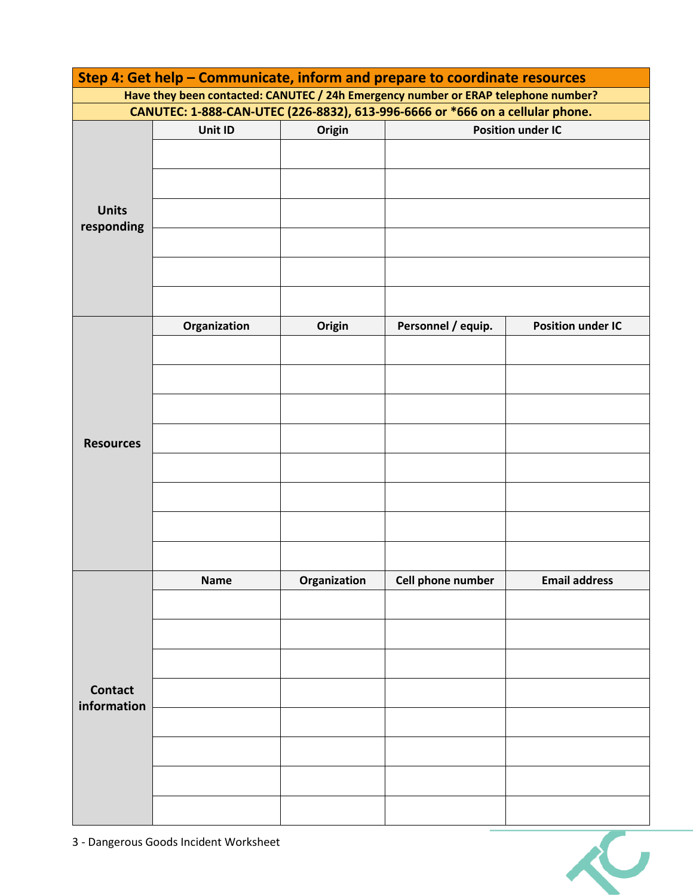| Step 4: Get help - Communicate, inform and prepare to coordinate resources         |                                                                               |              |                          |                          |  |  |
|------------------------------------------------------------------------------------|-------------------------------------------------------------------------------|--------------|--------------------------|--------------------------|--|--|
| Have they been contacted: CANUTEC / 24h Emergency number or ERAP telephone number? |                                                                               |              |                          |                          |  |  |
|                                                                                    | CANUTEC: 1-888-CAN-UTEC (226-8832), 613-996-6666 or *666 on a cellular phone. |              |                          |                          |  |  |
|                                                                                    | Unit ID                                                                       | Origin       | <b>Position under IC</b> |                          |  |  |
|                                                                                    |                                                                               |              |                          |                          |  |  |
|                                                                                    |                                                                               |              |                          |                          |  |  |
|                                                                                    |                                                                               |              |                          |                          |  |  |
| <b>Units</b>                                                                       |                                                                               |              |                          |                          |  |  |
| responding                                                                         |                                                                               |              |                          |                          |  |  |
|                                                                                    |                                                                               |              |                          |                          |  |  |
|                                                                                    |                                                                               |              |                          |                          |  |  |
|                                                                                    |                                                                               |              |                          |                          |  |  |
|                                                                                    |                                                                               |              |                          |                          |  |  |
|                                                                                    | Organization                                                                  | Origin       | Personnel / equip.       | <b>Position under IC</b> |  |  |
|                                                                                    |                                                                               |              |                          |                          |  |  |
|                                                                                    |                                                                               |              |                          |                          |  |  |
|                                                                                    |                                                                               |              |                          |                          |  |  |
|                                                                                    |                                                                               |              |                          |                          |  |  |
|                                                                                    |                                                                               |              |                          |                          |  |  |
| <b>Resources</b>                                                                   |                                                                               |              |                          |                          |  |  |
|                                                                                    |                                                                               |              |                          |                          |  |  |
|                                                                                    |                                                                               |              |                          |                          |  |  |
|                                                                                    |                                                                               |              |                          |                          |  |  |
|                                                                                    |                                                                               |              |                          |                          |  |  |
|                                                                                    |                                                                               |              |                          |                          |  |  |
|                                                                                    |                                                                               |              |                          |                          |  |  |
|                                                                                    | <b>Name</b>                                                                   | Organization | Cell phone number        | <b>Email address</b>     |  |  |
|                                                                                    |                                                                               |              |                          |                          |  |  |
|                                                                                    |                                                                               |              |                          |                          |  |  |
|                                                                                    |                                                                               |              |                          |                          |  |  |
| <b>Contact</b><br>information                                                      |                                                                               |              |                          |                          |  |  |
|                                                                                    |                                                                               |              |                          |                          |  |  |
|                                                                                    |                                                                               |              |                          |                          |  |  |
|                                                                                    |                                                                               |              |                          |                          |  |  |
|                                                                                    |                                                                               |              |                          |                          |  |  |
|                                                                                    |                                                                               |              |                          |                          |  |  |
|                                                                                    |                                                                               |              |                          |                          |  |  |
|                                                                                    |                                                                               |              |                          |                          |  |  |
|                                                                                    |                                                                               |              |                          |                          |  |  |

3 - Dangerous Goods Incident Worksheet